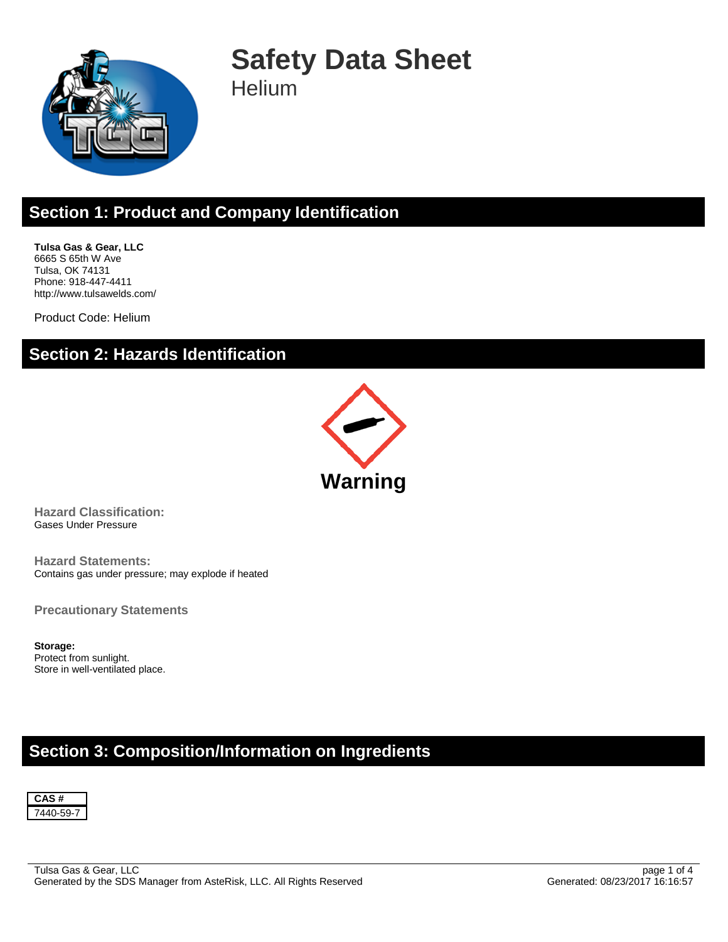

# **Safety Data Sheet**

**Helium** 

# **Section 1: Product and Company Identification**

**Tulsa Gas & Gear, LLC** 6665 S 65th W Ave Tulsa, OK 74131 Phone: 918-447-4411 http://www.tulsawelds.com/

Product Code: Helium

# **Section 2: Hazards Identification**



**Hazard Classification:** Gases Under Pressure

**Hazard Statements:** Contains gas under pressure; may explode if heated

**Precautionary Statements**

**Storage:** Protect from sunlight. Store in well-ventilated place.

### **Section 3: Composition/Information on Ingredients**

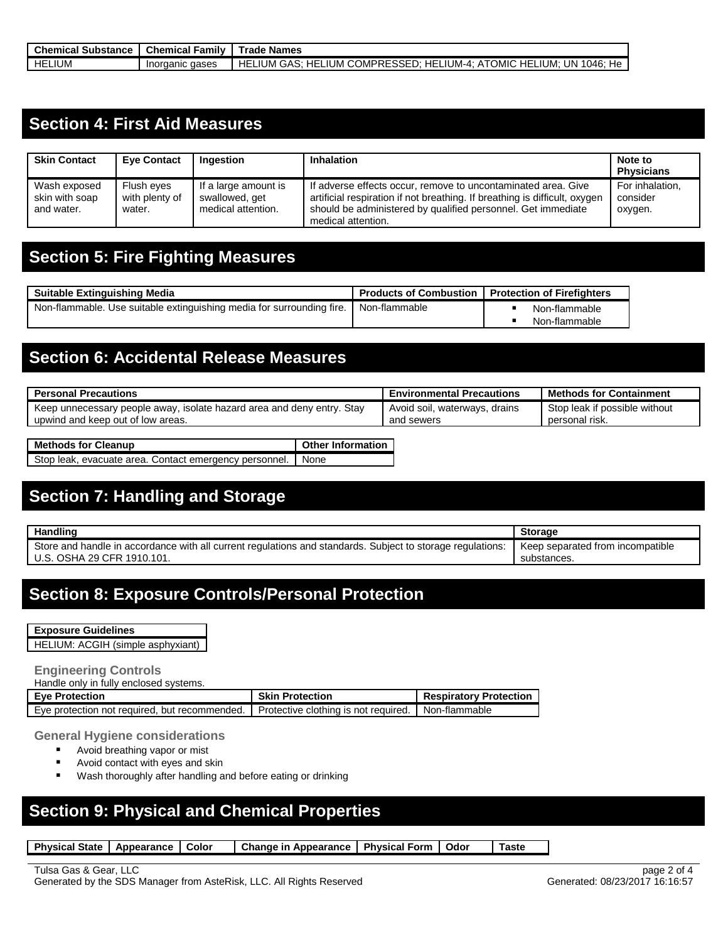| <b>Chemical Substance</b> | <b>Chemical Family</b> | Trade Names                                                                                  |
|---------------------------|------------------------|----------------------------------------------------------------------------------------------|
| LIUM<br>HEI               | aases<br>Inorganic     | LIUM COMPRESSED: HELIUM-4: ATOMIC  <br>HELIUM<br>UN 1046: He<br>_ium:<br>HEL<br>HEL.<br>GAS∵ |

### **Section 4: First Aid Measures**

| <b>Skin Contact</b>                          | <b>Eve Contact</b>                     | Ingestion                                                    | <b>Inhalation</b>                                                                                                                                                                                                                 | Note to<br><b>Physicians</b>           |
|----------------------------------------------|----------------------------------------|--------------------------------------------------------------|-----------------------------------------------------------------------------------------------------------------------------------------------------------------------------------------------------------------------------------|----------------------------------------|
| Wash exposed<br>skin with soap<br>and water. | Flush eyes<br>with plenty of<br>water. | If a large amount is<br>swallowed, get<br>medical attention. | If adverse effects occur, remove to uncontaminated area. Give<br>artificial respiration if not breathing. If breathing is difficult, oxygen<br>should be administered by qualified personnel. Get immediate<br>medical attention. | For inhalation,<br>consider<br>oxygen. |

# **Section 5: Fire Fighting Measures**

| <b>Suitable Extinguishing Media</b>                                   | <b>Products of Combustion</b> | <b>Protection of Firefighters</b> |               |  |
|-----------------------------------------------------------------------|-------------------------------|-----------------------------------|---------------|--|
| Non-flammable. Use suitable extinguishing media for surrounding fire. | Non-flammable                 |                                   | Non-flammable |  |
|                                                                       |                               |                                   | Non-flammable |  |

### **Section 6: Accidental Release Measures**

| <b>Personal Precautions</b>                                                                                 | <b>Environmental Precautions</b>            | <b>Methods for Containment</b>                  |
|-------------------------------------------------------------------------------------------------------------|---------------------------------------------|-------------------------------------------------|
| Keep unnecessary people away, isolate hazard area and deny entry. Stay<br>upwind and keep out of low areas. | Avoid soil, waterways, drains<br>and sewers | Stop leak if possible without<br>personal risk. |
| Mathode for Clasnun<br>Other Information                                                                    |                                             |                                                 |

| <b>Methods for Cleanup</b>                                  | <b>Deta Let Information</b> |
|-------------------------------------------------------------|-----------------------------|
| Stop leak, evacuate area. Contact emergency personnel. None |                             |
|                                                             |                             |

### **Section 7: Handling and Storage**

| Handling                                                                                                     | <b>Storage</b>                   |
|--------------------------------------------------------------------------------------------------------------|----------------------------------|
| l Store and handle in accordance with all current regulations and standards. Subiect to storage regulations: | Keep separated from incompatible |
| U.S. OSHA 29 CFR 1910.101.                                                                                   | substances.                      |

### **Section 8: Exposure Controls/Personal Protection**

| <b>Exposure Guidelines</b> |  |  |  |  |  |  |  |  |  |
|----------------------------|--|--|--|--|--|--|--|--|--|
|                            |  |  |  |  |  |  |  |  |  |
|                            |  |  |  |  |  |  |  |  |  |

HELIUM: ACGIH (simple asphyxiant)

#### **Engineering Controls**

| Handle only in fully enclosed systems.                                                               |                        |                               |
|------------------------------------------------------------------------------------------------------|------------------------|-------------------------------|
| <b>Eve Protection</b>                                                                                | <b>Skin Protection</b> | <b>Respiratory Protection</b> |
| Eye protection not required, but recommended.   Protective clothing is not required.   Non-flammable |                        |                               |

#### **General Hygiene considerations**

- **Avoid breathing vapor or mist**
- Avoid contact with eyes and skin
- **Wash thoroughly after handling and before eating or drinking**

#### **Section 9: Physical and Chemical Properties**

| Physical State   Appearance   Color |  |  | Change in Appearance   Physical Form   Odor |  |  | Taste |
|-------------------------------------|--|--|---------------------------------------------|--|--|-------|
|-------------------------------------|--|--|---------------------------------------------|--|--|-------|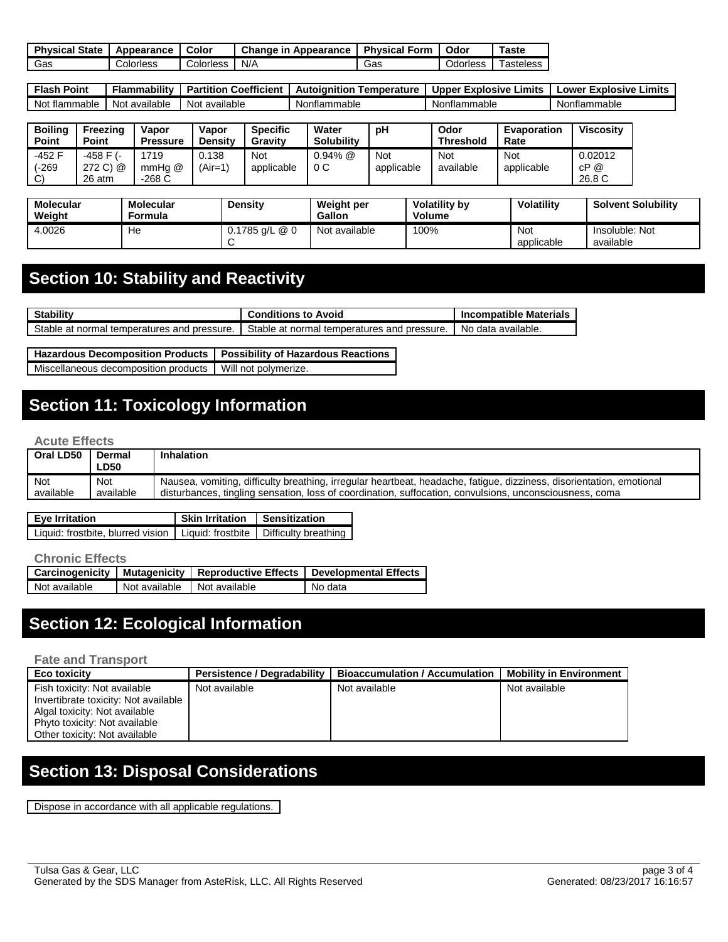| Physical.<br><b>State</b> | Appearance | Color     | Change<br>Appearance<br>ır | <b>Physical Form</b> | Odor           | ⊺aste                 |
|---------------------------|------------|-----------|----------------------------|----------------------|----------------|-----------------------|
| Gas                       | Colorless  | Colorless | N/A                        | Gas                  | <b>Corless</b> | <sup>r</sup> asteless |

| Flash<br>Point | <br>Flammabilitv | Coefficient<br><b>Partition</b> | Autoignition<br>Temperature | Limits<br>Explosive<br><b>Upper</b> | Explosive<br>Limits<br>Lower |
|----------------|------------------|---------------------------------|-----------------------------|-------------------------------------|------------------------------|
| Not flammable  | Not available    | Not available                   | Nonflammable                | Nonflammable                        | Nonflammable                 |

| <b>Boiling</b><br><b>Point</b>   | Freezina<br>Point               | Vapor<br><b>Pressure</b> | Vapor<br><b>Density</b> | <b>Specific</b><br>Gravity | Water<br><b>Solubility</b> | рH                | Odor<br><b>Threshold</b> | <b>Evaporation</b><br>Rate | <b>Viscosity</b>          |
|----------------------------------|---------------------------------|--------------------------|-------------------------|----------------------------|----------------------------|-------------------|--------------------------|----------------------------|---------------------------|
| -452 F<br>(-269<br>$\mathcal{C}$ | -458 F (-<br>272 C) @<br>26 atm | 719<br>mmHa @<br>-268 C  | 0.138<br>$(Air=1)$      | Not<br>applicable          | $0.94\%$ @<br>0C           | Not<br>applicable | <b>Not</b><br>available  | <b>Not</b><br>applicable   | 0.02012<br>cP @<br>26.8 C |

| <b>Molecular</b><br>Weight | Molecular<br>Formula | Densitv          | <b>Weight per</b><br><b>Gallon</b> | <b>Volatility by</b><br>Volume | Volatilitv               | <b>Solvent Solubility</b>   |
|----------------------------|----------------------|------------------|------------------------------------|--------------------------------|--------------------------|-----------------------------|
| 4.0026                     | He                   | $0.1785$ g/L @ 0 | Not available                      | 100%                           | <b>Not</b><br>applicable | Insoluble: Not<br>available |

# **Section 10: Stability and Reactivity**

| <b>Stability</b>                              | Conditions to Avoid                         | <b>Incompatible Materials</b> |
|-----------------------------------------------|---------------------------------------------|-------------------------------|
| . Stable at normal temperatures and pressure. | Stable at normal temperatures and pressure. | No data available.            |

| Hazardous Decomposition Products   Possibility of Hazardous Reactions |  |
|-----------------------------------------------------------------------|--|
| Miscellaneous decomposition products   Will not polymerize.           |  |

# **Section 11: Toxicology Information**

#### **Acute Effects**

| Oral LD50 | Dermal<br><b>LD50</b> | <b>Inhalation</b>                                                                                                    |
|-----------|-----------------------|----------------------------------------------------------------------------------------------------------------------|
| Not       | Not                   | Nausea, vomiting, difficulty breathing, irregular heartbeat, headache, fatigue, dizziness, disorientation, emotional |
| available | available             | disturbances, tingling sensation, loss of coordination, suffocation, convulsions, unconsciousness, coma              |

| Eye Irritation                                                               | Skin Irritation   Sensitization |  |
|------------------------------------------------------------------------------|---------------------------------|--|
| Liquid: frostbite, blurred vision   Liquid: frostbite   Difficulty breathing |                                 |  |

#### **Chronic Effects**

|               |               |               | Carcinogenicity   Mutagenicity   Reproductive Effects   Developmental Effects |  |  |  |
|---------------|---------------|---------------|-------------------------------------------------------------------------------|--|--|--|
| Not available | Not available | Not available | No data                                                                       |  |  |  |

# **Section 12: Ecological Information**

#### **Fate and Transport**

| <b>Eco toxicity</b>                                                                                                                                                     | <b>Persistence / Degradability</b> | <b>Bioaccumulation / Accumulation</b> | <b>Mobility in Environment</b> |
|-------------------------------------------------------------------------------------------------------------------------------------------------------------------------|------------------------------------|---------------------------------------|--------------------------------|
| Fish toxicity: Not available<br>Invertibrate toxicity: Not available<br>Algal toxicity: Not available<br>Phyto toxicity: Not available<br>Other toxicity: Not available | Not available                      | Not available                         | Not available                  |

# **Section 13: Disposal Considerations**

Dispose in accordance with all applicable regulations.